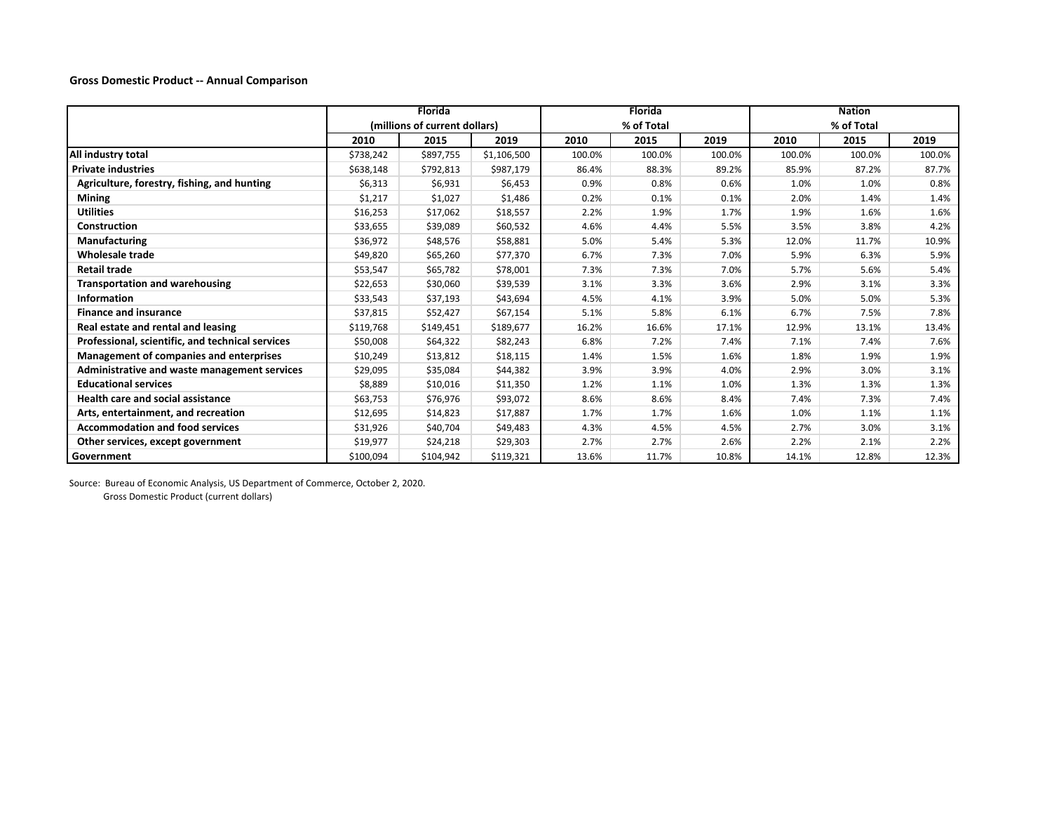**Gross Domestic Product ‐‐ Annual Comparison**

|                                                  | <b>Florida</b>                |           |             |            | <b>Florida</b> |        | <b>Nation</b> |        |        |
|--------------------------------------------------|-------------------------------|-----------|-------------|------------|----------------|--------|---------------|--------|--------|
|                                                  | (millions of current dollars) |           |             | % of Total |                |        | % of Total    |        |        |
|                                                  | 2010                          | 2015      | 2019        | 2010       | 2015           | 2019   | 2010          | 2015   | 2019   |
| All industry total                               | \$738,242                     | \$897,755 | \$1,106,500 | 100.0%     | 100.0%         | 100.0% | 100.0%        | 100.0% | 100.0% |
| <b>Private industries</b>                        | \$638,148                     | \$792,813 | \$987,179   | 86.4%      | 88.3%          | 89.2%  | 85.9%         | 87.2%  | 87.7%  |
| Agriculture, forestry, fishing, and hunting      | \$6,313                       | \$6,931   | \$6,453     | 0.9%       | 0.8%           | 0.6%   | 1.0%          | 1.0%   | 0.8%   |
| <b>Mining</b>                                    | \$1,217                       | \$1,027   | \$1,486     | 0.2%       | 0.1%           | 0.1%   | 2.0%          | 1.4%   | 1.4%   |
| <b>Utilities</b>                                 | \$16,253                      | \$17,062  | \$18,557    | 2.2%       | 1.9%           | 1.7%   | 1.9%          | 1.6%   | 1.6%   |
| Construction                                     | \$33,655                      | \$39,089  | \$60,532    | 4.6%       | 4.4%           | 5.5%   | 3.5%          | 3.8%   | 4.2%   |
| Manufacturing                                    | \$36,972                      | \$48,576  | \$58,881    | 5.0%       | 5.4%           | 5.3%   | 12.0%         | 11.7%  | 10.9%  |
| Wholesale trade                                  | \$49,820                      | \$65,260  | \$77,370    | 6.7%       | 7.3%           | 7.0%   | 5.9%          | 6.3%   | 5.9%   |
| Retail trade                                     | \$53,547                      | \$65,782  | \$78,001    | 7.3%       | 7.3%           | 7.0%   | 5.7%          | 5.6%   | 5.4%   |
| <b>Transportation and warehousing</b>            | \$22,653                      | \$30,060  | \$39,539    | 3.1%       | 3.3%           | 3.6%   | 2.9%          | 3.1%   | 3.3%   |
| <b>Information</b>                               | \$33,543                      | \$37,193  | \$43,694    | 4.5%       | 4.1%           | 3.9%   | 5.0%          | 5.0%   | 5.3%   |
| <b>Finance and insurance</b>                     | \$37,815                      | \$52,427  | \$67,154    | 5.1%       | 5.8%           | 6.1%   | 6.7%          | 7.5%   | 7.8%   |
| Real estate and rental and leasing               | \$119,768                     | \$149,451 | \$189,677   | 16.2%      | 16.6%          | 17.1%  | 12.9%         | 13.1%  | 13.4%  |
| Professional, scientific, and technical services | \$50,008                      | \$64,322  | \$82,243    | 6.8%       | 7.2%           | 7.4%   | 7.1%          | 7.4%   | 7.6%   |
| <b>Management of companies and enterprises</b>   | \$10,249                      | \$13,812  | \$18,115    | 1.4%       | 1.5%           | 1.6%   | 1.8%          | 1.9%   | 1.9%   |
| Administrative and waste management services     | \$29,095                      | \$35,084  | \$44,382    | 3.9%       | 3.9%           | 4.0%   | 2.9%          | 3.0%   | 3.1%   |
| <b>Educational services</b>                      | \$8,889                       | \$10,016  | \$11,350    | 1.2%       | 1.1%           | 1.0%   | 1.3%          | 1.3%   | 1.3%   |
| <b>Health care and social assistance</b>         | \$63,753                      | \$76,976  | \$93,072    | 8.6%       | 8.6%           | 8.4%   | 7.4%          | 7.3%   | 7.4%   |
| Arts, entertainment, and recreation              | \$12,695                      | \$14,823  | \$17,887    | 1.7%       | 1.7%           | 1.6%   | 1.0%          | 1.1%   | 1.1%   |
| <b>Accommodation and food services</b>           | \$31,926                      | \$40,704  | \$49,483    | 4.3%       | 4.5%           | 4.5%   | 2.7%          | 3.0%   | 3.1%   |
| Other services, except government                | \$19,977                      | \$24,218  | \$29,303    | 2.7%       | 2.7%           | 2.6%   | 2.2%          | 2.1%   | 2.2%   |
| Government                                       | \$100,094                     | \$104,942 | \$119,321   | 13.6%      | 11.7%          | 10.8%  | 14.1%         | 12.8%  | 12.3%  |

Source: Bureau of Economic Analysis, US Department of Commerce, October 2, 2020.

Gross Domestic Product (current dollars)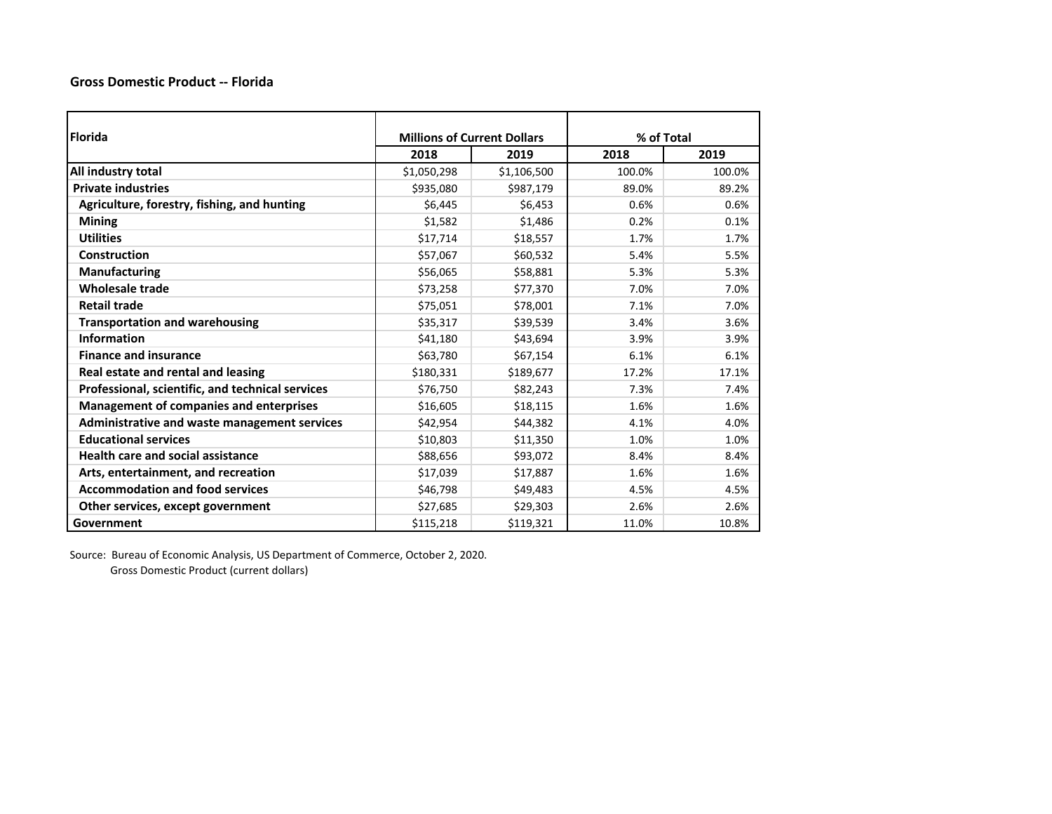## **Gross Domestic Product ‐‐ Florida**

| <b>Florida</b>                                   | <b>Millions of Current Dollars</b> |             | % of Total |        |  |
|--------------------------------------------------|------------------------------------|-------------|------------|--------|--|
|                                                  | 2018                               | 2019        | 2018       | 2019   |  |
| All industry total                               | \$1,050,298                        | \$1,106,500 | 100.0%     | 100.0% |  |
| <b>Private industries</b>                        | \$935,080                          | \$987,179   | 89.0%      | 89.2%  |  |
| Agriculture, forestry, fishing, and hunting      | \$6,445                            | \$6,453     | 0.6%       | 0.6%   |  |
| <b>Mining</b>                                    | \$1,582                            | \$1,486     | 0.2%       | 0.1%   |  |
| <b>Utilities</b>                                 | \$17,714                           | \$18,557    | 1.7%       | 1.7%   |  |
| Construction                                     | \$57,067                           | \$60,532    | 5.4%       | 5.5%   |  |
| <b>Manufacturing</b>                             | \$56,065                           | \$58,881    | 5.3%       | 5.3%   |  |
| <b>Wholesale trade</b>                           | \$73,258                           | \$77,370    | 7.0%       | 7.0%   |  |
| <b>Retail trade</b>                              | \$75,051                           | \$78,001    | 7.1%       | 7.0%   |  |
| <b>Transportation and warehousing</b>            | \$35,317                           | \$39,539    | 3.4%       | 3.6%   |  |
| <b>Information</b>                               | \$41,180                           | \$43,694    | 3.9%       | 3.9%   |  |
| <b>Finance and insurance</b>                     | \$63,780                           | \$67,154    | 6.1%       | 6.1%   |  |
| Real estate and rental and leasing               | \$180,331                          | \$189,677   | 17.2%      | 17.1%  |  |
| Professional, scientific, and technical services | \$76,750                           | \$82,243    | 7.3%       | 7.4%   |  |
| <b>Management of companies and enterprises</b>   | \$16,605                           | \$18,115    | 1.6%       | 1.6%   |  |
| Administrative and waste management services     | \$42,954                           | \$44,382    | 4.1%       | 4.0%   |  |
| <b>Educational services</b>                      | \$10,803                           | \$11,350    | 1.0%       | 1.0%   |  |
| <b>Health care and social assistance</b>         | \$88,656                           | \$93,072    | 8.4%       | 8.4%   |  |
| Arts, entertainment, and recreation              | \$17,039                           | \$17,887    | 1.6%       | 1.6%   |  |
| <b>Accommodation and food services</b>           | \$46,798                           | \$49,483    | 4.5%       | 4.5%   |  |
| Other services, except government                | \$27,685                           | \$29,303    | 2.6%       | 2.6%   |  |
| Government                                       | \$115,218                          | \$119,321   | 11.0%      | 10.8%  |  |

Source: Bureau of Economic Analysis, US Department of Commerce, October 2, 2020. Gross Domestic Product (current dollars)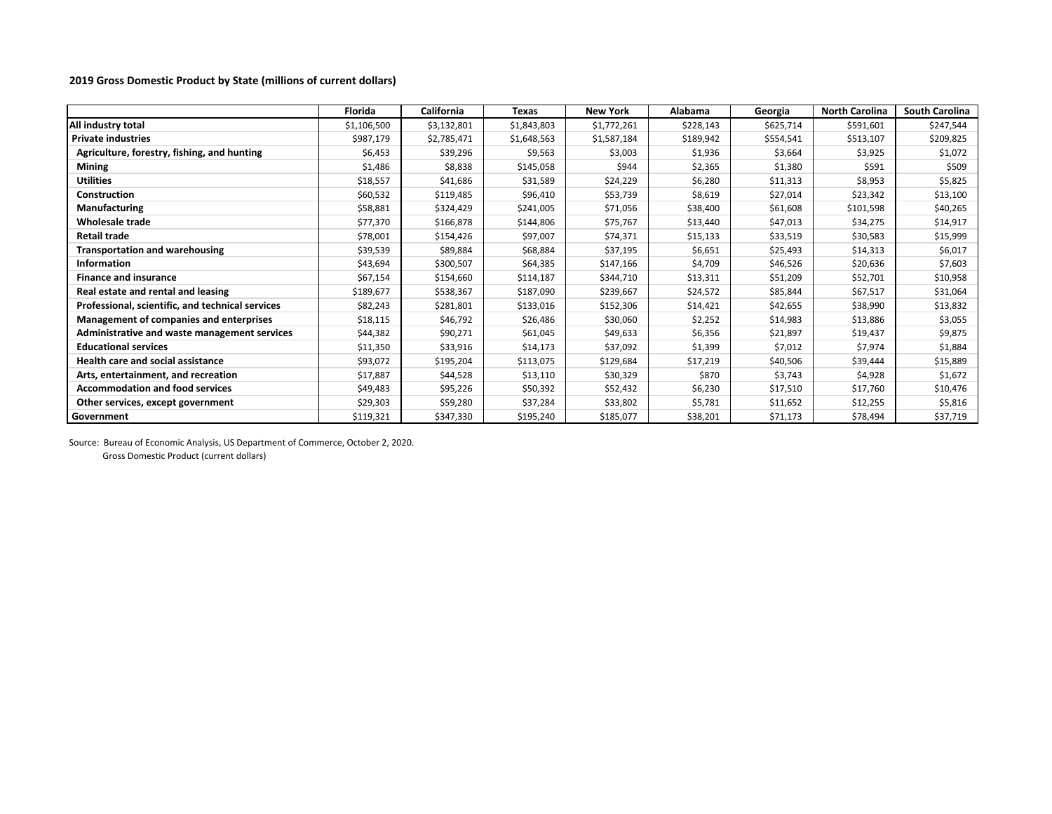## **2019 Gross Domestic Product by State (millions of current dollars)**

|                                                  | Florida     | California  | Texas       | <b>New York</b> | Alabama   | Georgia   | <b>North Carolina</b> | <b>South Carolina</b> |
|--------------------------------------------------|-------------|-------------|-------------|-----------------|-----------|-----------|-----------------------|-----------------------|
| All industry total                               | \$1,106,500 | \$3,132,801 | \$1,843,803 | \$1,772,261     | \$228,143 | \$625,714 | \$591,601             | \$247,544             |
| <b>Private industries</b>                        | \$987,179   | \$2,785,471 | \$1,648,563 | \$1,587,184     | \$189,942 | \$554,541 | \$513,107             | \$209,825             |
| Agriculture, forestry, fishing, and hunting      | \$6,453     | \$39,296    | \$9,563     | \$3,003         | \$1,936   | \$3,664   | \$3,925               | \$1,072               |
| <b>Mining</b>                                    | \$1,486     | \$8,838     | \$145,058   | \$944           | \$2,365   | \$1,380   | \$591                 | \$509                 |
| <b>Utilities</b>                                 | \$18,557    | \$41,686    | \$31,589    | \$24,229        | \$6,280   | \$11,313  | \$8,953               | \$5,825               |
| <b>Construction</b>                              | \$60,532    | \$119,485   | \$96,410    | \$53,739        | \$8,619   | \$27,014  | \$23,342              | \$13,100              |
| <b>Manufacturing</b>                             | \$58,881    | \$324,429   | \$241,005   | \$71,056        | \$38,400  | \$61,608  | \$101,598             | \$40,265              |
| <b>Wholesale trade</b>                           | \$77,370    | \$166,878   | \$144,806   | \$75,767        | \$13,440  | \$47,013  | \$34,275              | \$14,917              |
| Retail trade                                     | \$78,001    | \$154,426   | \$97,007    | \$74,371        | \$15,133  | \$33,519  | \$30,583              | \$15,999              |
| <b>Transportation and warehousing</b>            | \$39,539    | \$89,884    | \$68,884    | \$37,195        | \$6,651   | \$25,493  | \$14,313              | \$6,017               |
| <b>Information</b>                               | \$43,694    | \$300,507   | \$64,385    | \$147,166       | \$4,709   | \$46,526  | \$20,636              | \$7,603               |
| <b>Finance and insurance</b>                     | \$67,154    | \$154,660   | \$114,187   | \$344,710       | \$13,311  | \$51,209  | \$52,701              | \$10,958              |
| Real estate and rental and leasing               | \$189,677   | \$538,367   | \$187,090   | \$239,667       | \$24,572  | \$85,844  | \$67,517              | \$31,064              |
| Professional, scientific, and technical services | \$82,243    | \$281,801   | \$133,016   | \$152,306       | \$14,421  | \$42,655  | \$38,990              | \$13,832              |
| Management of companies and enterprises          | \$18,115    | \$46,792    | \$26,486    | \$30,060        | \$2,252   | \$14,983  | \$13,886              | \$3,055               |
| Administrative and waste management services     | \$44,382    | \$90,271    | \$61,045    | \$49,633        | \$6,356   | \$21,897  | \$19,437              | \$9,875               |
| <b>Educational services</b>                      | \$11,350    | \$33,916    | \$14,173    | \$37,092        | \$1,399   | \$7,012   | \$7,974               | \$1,884               |
| <b>Health care and social assistance</b>         | \$93,072    | \$195,204   | \$113,075   | \$129,684       | \$17,219  | \$40,506  | \$39,444              | \$15,889              |
| Arts, entertainment, and recreation              | \$17,887    | \$44,528    | \$13,110    | \$30,329        | \$870     | \$3,743   | \$4,928               | \$1,672               |
| <b>Accommodation and food services</b>           | \$49,483    | \$95,226    | \$50,392    | \$52,432        | \$6,230   | \$17,510  | \$17,760              | \$10,476              |
| Other services, except government                | \$29,303    | \$59,280    | \$37,284    | \$33,802        | \$5,781   | \$11,652  | \$12,255              | \$5,816               |
| Government                                       | \$119,321   | \$347,330   | \$195,240   | \$185,077       | \$38,201  | \$71,173  | \$78,494              | \$37,719              |

Source: Bureau of Economic Analysis, US Department of Commerce, October 2, 2020. Gross Domestic Product (current dollars)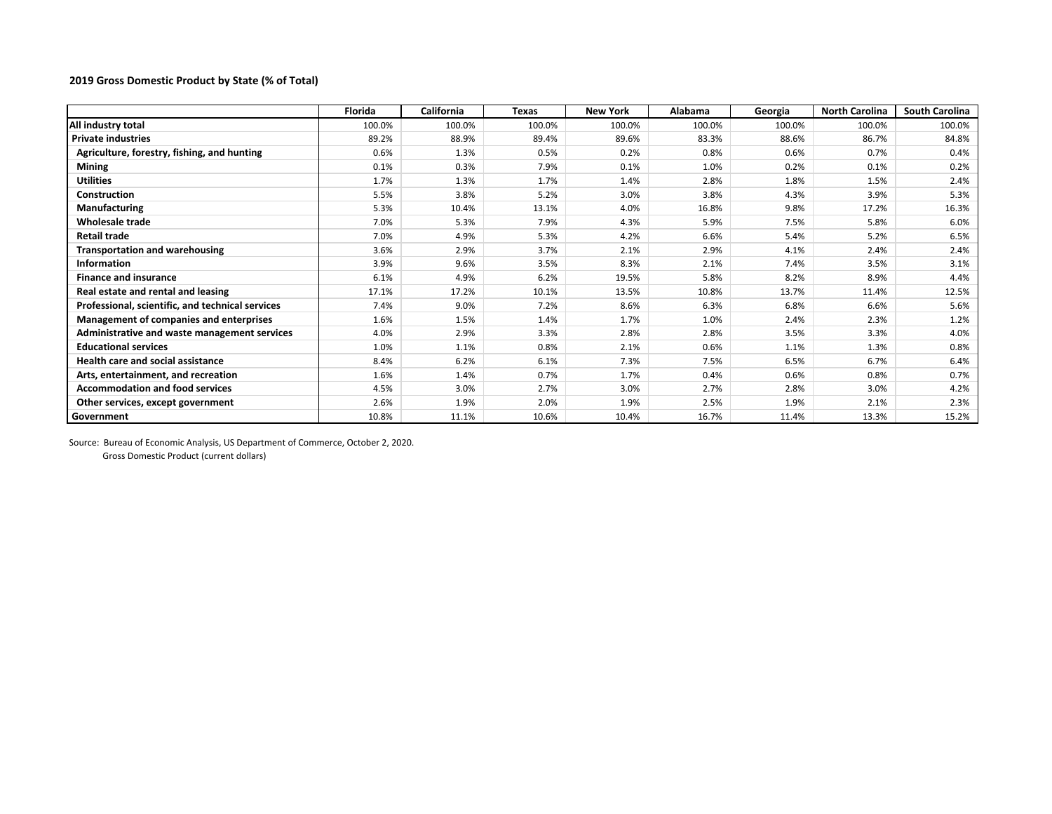## **2019 Gross Domestic Product by State (% of Total)**

|                                                  | Florida | California | Texas  | <b>New York</b> | Alabama | Georgia | <b>North Carolina</b> | <b>South Carolina</b> |
|--------------------------------------------------|---------|------------|--------|-----------------|---------|---------|-----------------------|-----------------------|
| All industry total                               | 100.0%  | 100.0%     | 100.0% | 100.0%          | 100.0%  | 100.0%  | 100.0%                | 100.0%                |
| <b>Private industries</b>                        | 89.2%   | 88.9%      | 89.4%  | 89.6%           | 83.3%   | 88.6%   | 86.7%                 | 84.8%                 |
| Agriculture, forestry, fishing, and hunting      | 0.6%    | 1.3%       | 0.5%   | 0.2%            | 0.8%    | 0.6%    | 0.7%                  | 0.4%                  |
| <b>Mining</b>                                    | 0.1%    | 0.3%       | 7.9%   | 0.1%            | 1.0%    | 0.2%    | 0.1%                  | 0.2%                  |
| <b>Utilities</b>                                 | 1.7%    | 1.3%       | 1.7%   | 1.4%            | 2.8%    | 1.8%    | 1.5%                  | 2.4%                  |
| <b>Construction</b>                              | 5.5%    | 3.8%       | 5.2%   | 3.0%            | 3.8%    | 4.3%    | 3.9%                  | 5.3%                  |
| <b>Manufacturing</b>                             | 5.3%    | 10.4%      | 13.1%  | 4.0%            | 16.8%   | 9.8%    | 17.2%                 | 16.3%                 |
| <b>Wholesale trade</b>                           | 7.0%    | 5.3%       | 7.9%   | 4.3%            | 5.9%    | 7.5%    | 5.8%                  | 6.0%                  |
| <b>Retail trade</b>                              | 7.0%    | 4.9%       | 5.3%   | 4.2%            | 6.6%    | 5.4%    | 5.2%                  | 6.5%                  |
| <b>Transportation and warehousing</b>            | 3.6%    | 2.9%       | 3.7%   | 2.1%            | 2.9%    | 4.1%    | 2.4%                  | 2.4%                  |
| Information                                      | 3.9%    | 9.6%       | 3.5%   | 8.3%            | 2.1%    | 7.4%    | 3.5%                  | 3.1%                  |
| <b>Finance and insurance</b>                     | 6.1%    | 4.9%       | 6.2%   | 19.5%           | 5.8%    | 8.2%    | 8.9%                  | 4.4%                  |
| Real estate and rental and leasing               | 17.1%   | 17.2%      | 10.1%  | 13.5%           | 10.8%   | 13.7%   | 11.4%                 | 12.5%                 |
| Professional, scientific, and technical services | 7.4%    | 9.0%       | 7.2%   | 8.6%            | 6.3%    | 6.8%    | 6.6%                  | 5.6%                  |
| Management of companies and enterprises          | 1.6%    | 1.5%       | 1.4%   | 1.7%            | 1.0%    | 2.4%    | 2.3%                  | 1.2%                  |
| Administrative and waste management services     | 4.0%    | 2.9%       | 3.3%   | 2.8%            | 2.8%    | 3.5%    | 3.3%                  | 4.0%                  |
| <b>Educational services</b>                      | 1.0%    | 1.1%       | 0.8%   | 2.1%            | 0.6%    | 1.1%    | 1.3%                  | 0.8%                  |
| <b>Health care and social assistance</b>         | 8.4%    | 6.2%       | 6.1%   | 7.3%            | 7.5%    | 6.5%    | 6.7%                  | 6.4%                  |
| Arts, entertainment, and recreation              | 1.6%    | 1.4%       | 0.7%   | 1.7%            | 0.4%    | 0.6%    | 0.8%                  | 0.7%                  |
| <b>Accommodation and food services</b>           | 4.5%    | 3.0%       | 2.7%   | 3.0%            | 2.7%    | 2.8%    | 3.0%                  | 4.2%                  |
| Other services, except government                | 2.6%    | 1.9%       | 2.0%   | 1.9%            | 2.5%    | 1.9%    | 2.1%                  | 2.3%                  |
| Government                                       | 10.8%   | 11.1%      | 10.6%  | 10.4%           | 16.7%   | 11.4%   | 13.3%                 | 15.2%                 |

Source: Bureau of Economic Analysis, US Department of Commerce, October 2, 2020. Gross Domestic Product (current dollars)